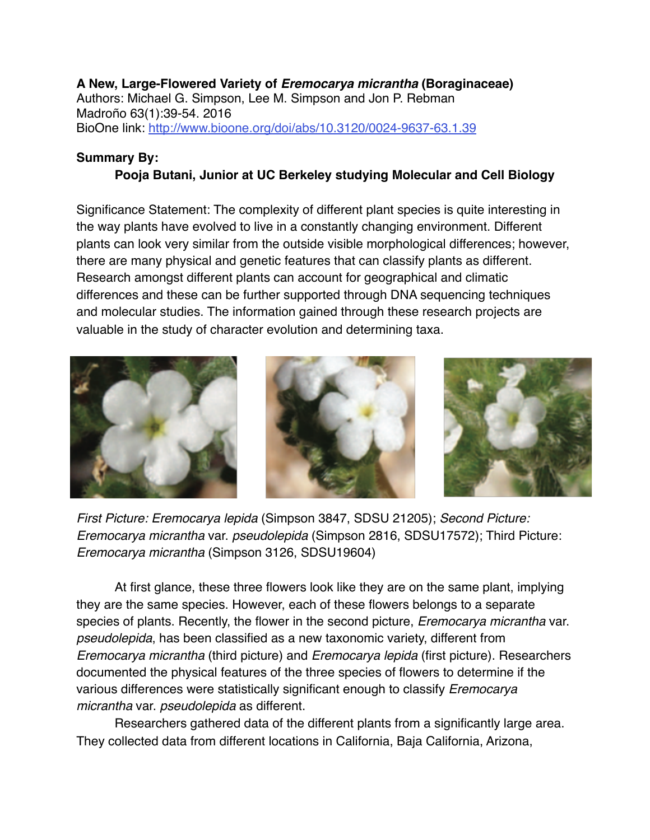## **A New, Large-Flowered Variety of** *Eremocarya micrantha* **(Boraginaceae)** Authors: Michael G. Simpson, Lee M. Simpson and Jon P. Rebman Madroño 63(1):39-54. 2016 BioOne link:<http://www.bioone.org/doi/abs/10.3120/0024-9637-63.1.39>

## **Summary By:**

## **Pooja Butani, Junior at UC Berkeley studying Molecular and Cell Biology**

Significance Statement: The complexity of different plant species is quite interesting in the way plants have evolved to live in a constantly changing environment. Different plants can look very similar from the outside visible morphological differences; however, there are many physical and genetic features that can classify plants as different. Research amongst different plants can account for geographical and climatic differences and these can be further supported through DNA sequencing techniques and molecular studies. The information gained through these research projects are valuable in the study of character evolution and determining taxa.



*First Picture: Eremocarya lepida* (Simpson 3847, SDSU 21205); *Second Picture: Eremocarya micrantha* var. *pseudolepida* (Simpson 2816, SDSU17572); Third Picture: *Eremocarya micrantha* (Simpson 3126, SDSU19604)

At first glance, these three flowers look like they are on the same plant, implying they are the same species. However, each of these flowers belongs to a separate species of plants. Recently, the flower in the second picture, *Eremocarya micrantha* var. *pseudolepida*, has been classified as a new taxonomic variety, different from *Eremocarya micrantha* (third picture) and *Eremocarya lepida* (first picture). Researchers documented the physical features of the three species of flowers to determine if the various differences were statistically significant enough to classify *Eremocarya micrantha* var. *pseudolepida* as different.

Researchers gathered data of the different plants from a significantly large area. They collected data from different locations in California, Baja California, Arizona,